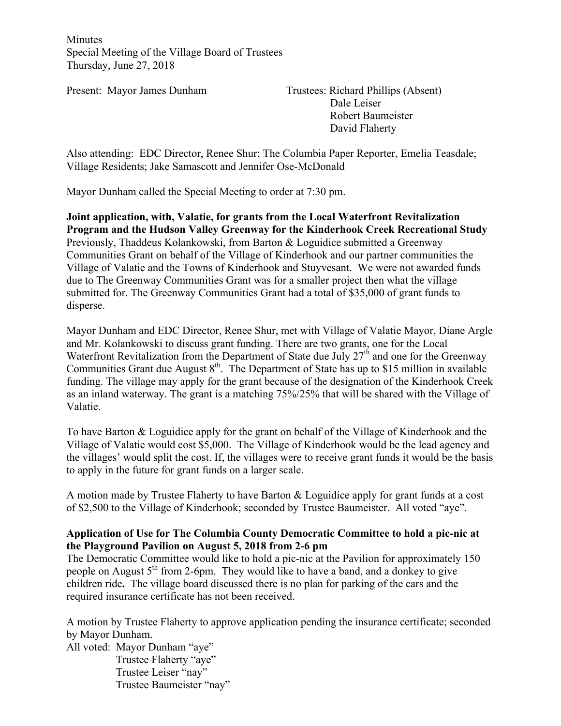Minutes Special Meeting of the Village Board of Trustees Thursday, June 27, 2018

Present: Mayor James Dunham Trustees: Richard Phillips (Absent) Dale Leiser Robert Baumeister David Flaherty

Also attending: EDC Director, Renee Shur; The Columbia Paper Reporter, Emelia Teasdale; Village Residents; Jake Samascott and Jennifer Ose-McDonald

Mayor Dunham called the Special Meeting to order at 7:30 pm.

**Joint application, with, Valatie, for grants from the Local Waterfront Revitalization Program and the Hudson Valley Greenway for the Kinderhook Creek Recreational Study** Previously, Thaddeus Kolankowski, from Barton & Loguidice submitted a Greenway Communities Grant on behalf of the Village of Kinderhook and our partner communities the Village of Valatie and the Towns of Kinderhook and Stuyvesant. We were not awarded funds due to The Greenway Communities Grant was for a smaller project then what the village submitted for. The Greenway Communities Grant had a total of \$35,000 of grant funds to disperse.

Mayor Dunham and EDC Director, Renee Shur, met with Village of Valatie Mayor, Diane Argle and Mr. Kolankowski to discuss grant funding. There are two grants, one for the Local Waterfront Revitalization from the Department of State due July  $27<sup>th</sup>$  and one for the Greenway Communities Grant due August  $8<sup>th</sup>$ . The Department of State has up to \$15 million in available funding. The village may apply for the grant because of the designation of the Kinderhook Creek as an inland waterway. The grant is a matching 75%/25% that will be shared with the Village of Valatie.

To have Barton & Loguidice apply for the grant on behalf of the Village of Kinderhook and the Village of Valatie would cost \$5,000. The Village of Kinderhook would be the lead agency and the villages' would split the cost. If, the villages were to receive grant funds it would be the basis to apply in the future for grant funds on a larger scale.

A motion made by Trustee Flaherty to have Barton & Loguidice apply for grant funds at a cost of \$2,500 to the Village of Kinderhook; seconded by Trustee Baumeister. All voted "aye".

# **Application of Use for The Columbia County Democratic Committee to hold a pic-nic at the Playground Pavilion on August 5, 2018 from 2-6 pm**

The Democratic Committee would like to hold a pic-nic at the Pavilion for approximately 150 people on August  $5<sup>th</sup>$  from 2-6pm. They would like to have a band, and a donkey to give children ride**.** The village board discussed there is no plan for parking of the cars and the required insurance certificate has not been received.

A motion by Trustee Flaherty to approve application pending the insurance certificate; seconded by Mayor Dunham.

All voted: Mayor Dunham "aye" Trustee Flaherty "aye" Trustee Leiser "nay" Trustee Baumeister "nay"